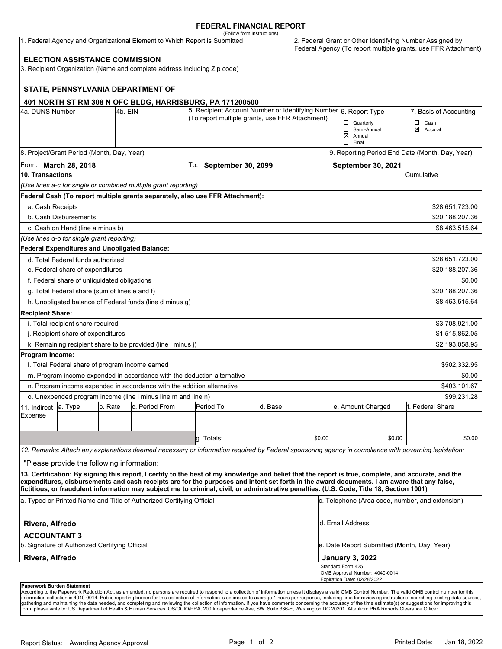#### **FEDERAL FINANCIAL REPORT**

|                                                                           |                                                 |         |                                                                          | (Follow form instructions)                                                                                                                                                                                                                                                                         |         |                        |                                                                                                                            |                                |                  |  |
|---------------------------------------------------------------------------|-------------------------------------------------|---------|--------------------------------------------------------------------------|----------------------------------------------------------------------------------------------------------------------------------------------------------------------------------------------------------------------------------------------------------------------------------------------------|---------|------------------------|----------------------------------------------------------------------------------------------------------------------------|--------------------------------|------------------|--|
| 1. Federal Agency and Organizational Element to Which Report is Submitted |                                                 |         |                                                                          |                                                                                                                                                                                                                                                                                                    |         |                        | 2. Federal Grant or Other Identifying Number Assigned by<br>Federal Agency (To report multiple grants, use FFR Attachment) |                                |                  |  |
|                                                                           | <b>ELECTION ASSISTANCE COMMISSION</b>           |         |                                                                          |                                                                                                                                                                                                                                                                                                    |         |                        |                                                                                                                            |                                |                  |  |
|                                                                           |                                                 |         | 3. Recipient Organization (Name and complete address including Zip code) |                                                                                                                                                                                                                                                                                                    |         |                        |                                                                                                                            |                                |                  |  |
|                                                                           |                                                 |         | STATE, PENNSYLVANIA DEPARTMENT OF                                        |                                                                                                                                                                                                                                                                                                    |         |                        |                                                                                                                            |                                |                  |  |
|                                                                           |                                                 |         |                                                                          | 401 NORTH ST RM 308 N OFC BLDG, HARRISBURG, PA 171200500                                                                                                                                                                                                                                           |         |                        |                                                                                                                            |                                |                  |  |
| 4a. DUNS Number<br>4b. EIN                                                |                                                 |         | 5. Recipient Account Number or Identifying Number 6. Report Type         |                                                                                                                                                                                                                                                                                                    |         | 7. Basis of Accounting |                                                                                                                            |                                |                  |  |
|                                                                           |                                                 |         |                                                                          | (To report multiple grants, use FFR Attachment)                                                                                                                                                                                                                                                    |         |                        | $\Box$ Quarterly                                                                                                           |                                | $\Box$<br>Cash   |  |
|                                                                           |                                                 |         |                                                                          |                                                                                                                                                                                                                                                                                                    |         |                        | $\boxtimes$ Annual<br>$\Box$ Final                                                                                         | Semi-Annual                    | ⊠<br>Accural     |  |
|                                                                           | 8. Project/Grant Period (Month, Day, Year)      |         |                                                                          |                                                                                                                                                                                                                                                                                                    |         |                        | 9. Reporting Period End Date (Month, Day, Year)                                                                            |                                |                  |  |
| From: <b>March 28, 2018</b>                                               |                                                 |         |                                                                          | To: September 30, 2099                                                                                                                                                                                                                                                                             |         |                        | September 30, 2021                                                                                                         |                                |                  |  |
| 10. Transactions                                                          |                                                 |         |                                                                          |                                                                                                                                                                                                                                                                                                    |         |                        |                                                                                                                            | Cumulative                     |                  |  |
|                                                                           |                                                 |         | (Use lines a-c for single or combined multiple grant reporting)          |                                                                                                                                                                                                                                                                                                    |         |                        |                                                                                                                            |                                |                  |  |
|                                                                           |                                                 |         |                                                                          | Federal Cash (To report multiple grants separately, also use FFR Attachment):                                                                                                                                                                                                                      |         |                        |                                                                                                                            |                                |                  |  |
| a. Cash Receipts                                                          |                                                 |         |                                                                          |                                                                                                                                                                                                                                                                                                    |         |                        |                                                                                                                            |                                | \$28,651,723.00  |  |
|                                                                           | b. Cash Disbursements                           |         |                                                                          |                                                                                                                                                                                                                                                                                                    |         |                        |                                                                                                                            | \$20,188,207.36                |                  |  |
|                                                                           | c. Cash on Hand (line a minus b)                |         |                                                                          |                                                                                                                                                                                                                                                                                                    |         |                        |                                                                                                                            |                                | \$8,463,515.64   |  |
|                                                                           | (Use lines d-o for single grant reporting)      |         |                                                                          |                                                                                                                                                                                                                                                                                                    |         |                        |                                                                                                                            |                                |                  |  |
|                                                                           | Federal Expenditures and Unobligated Balance:   |         |                                                                          |                                                                                                                                                                                                                                                                                                    |         |                        |                                                                                                                            |                                |                  |  |
|                                                                           | d. Total Federal funds authorized               |         |                                                                          |                                                                                                                                                                                                                                                                                                    |         |                        |                                                                                                                            |                                | \$28,651,723.00  |  |
| e. Federal share of expenditures                                          |                                                 |         |                                                                          |                                                                                                                                                                                                                                                                                                    |         |                        |                                                                                                                            | \$20,188,207.36                |                  |  |
| f. Federal share of unliquidated obligations                              |                                                 |         |                                                                          |                                                                                                                                                                                                                                                                                                    |         |                        |                                                                                                                            | \$0.00                         |                  |  |
| g. Total Federal share (sum of lines e and f)                             |                                                 |         |                                                                          |                                                                                                                                                                                                                                                                                                    |         |                        |                                                                                                                            |                                | \$20,188,207.36  |  |
|                                                                           |                                                 |         | h. Unobligated balance of Federal funds (line d minus g)                 |                                                                                                                                                                                                                                                                                                    |         |                        |                                                                                                                            |                                | \$8,463,515.64   |  |
| <b>Recipient Share:</b>                                                   |                                                 |         |                                                                          |                                                                                                                                                                                                                                                                                                    |         |                        |                                                                                                                            |                                |                  |  |
| i. Total recipient share required                                         |                                                 |         |                                                                          |                                                                                                                                                                                                                                                                                                    |         |                        |                                                                                                                            |                                | \$3,708,921.00   |  |
| j. Recipient share of expenditures                                        |                                                 |         |                                                                          |                                                                                                                                                                                                                                                                                                    |         |                        |                                                                                                                            | \$1,515,862.05                 |                  |  |
|                                                                           |                                                 |         | k. Remaining recipient share to be provided (line i minus j)             |                                                                                                                                                                                                                                                                                                    |         |                        |                                                                                                                            |                                | \$2,193,058.95   |  |
| Program Income:                                                           |                                                 |         |                                                                          |                                                                                                                                                                                                                                                                                                    |         |                        |                                                                                                                            |                                |                  |  |
|                                                                           | I. Total Federal share of program income earned |         |                                                                          |                                                                                                                                                                                                                                                                                                    |         |                        |                                                                                                                            |                                | \$502,332.95     |  |
|                                                                           |                                                 |         |                                                                          | m. Program income expended in accordance with the deduction alternative                                                                                                                                                                                                                            |         |                        |                                                                                                                            | \$0.00                         |                  |  |
|                                                                           |                                                 |         | n. Program income expended in accordance with the addition alternative   |                                                                                                                                                                                                                                                                                                    |         |                        |                                                                                                                            | \$403,101.67                   |                  |  |
| o. Unexpended program income (line I minus line m and line n)             |                                                 |         |                                                                          |                                                                                                                                                                                                                                                                                                    |         |                        |                                                                                                                            | \$99,231.28                    |                  |  |
| 11. Indirect                                                              | a. Type                                         | b. Rate | c. Period From                                                           | Period To                                                                                                                                                                                                                                                                                          | d. Base |                        |                                                                                                                            | e. Amount Charged              | f. Federal Share |  |
| Expense                                                                   |                                                 |         |                                                                          |                                                                                                                                                                                                                                                                                                    |         |                        |                                                                                                                            |                                |                  |  |
|                                                                           |                                                 |         |                                                                          |                                                                                                                                                                                                                                                                                                    |         |                        |                                                                                                                            |                                |                  |  |
|                                                                           |                                                 |         |                                                                          | g. Totals:                                                                                                                                                                                                                                                                                         |         | \$0.00                 |                                                                                                                            | \$0.00                         | \$0.00           |  |
|                                                                           |                                                 |         |                                                                          | 12. Remarks: Attach any explanations deemed necessary or information required by Federal sponsoring agency in compliance with governing legislation:                                                                                                                                               |         |                        |                                                                                                                            |                                |                  |  |
|                                                                           | "Please provide the following information:      |         |                                                                          |                                                                                                                                                                                                                                                                                                    |         |                        |                                                                                                                            |                                |                  |  |
|                                                                           |                                                 |         |                                                                          | 13. Certification: By signing this report, I certify to the best of my knowledge and belief that the report is true, complete, and accurate, and the<br>expenditures, disbursements and cash receipts are for the purposes and intent set forth in the award documents. I am aware that any false, |         |                        |                                                                                                                            |                                |                  |  |
|                                                                           |                                                 |         |                                                                          | fictitious, or fraudulent information may subject me to criminal, civil, or administrative penalties. (U.S. Code, Title 18, Section 1001)                                                                                                                                                          |         |                        |                                                                                                                            |                                |                  |  |
| a. Typed or Printed Name and Title of Authorized Certifying Official      |                                                 |         |                                                                          |                                                                                                                                                                                                                                                                                                    |         |                        | c. Telephone (Area code, number, and extension)                                                                            |                                |                  |  |
| Rivera, Alfredo                                                           |                                                 |         |                                                                          |                                                                                                                                                                                                                                                                                                    |         |                        |                                                                                                                            | d. Email Address               |                  |  |
| <b>ACCOUNTANT 3</b>                                                       |                                                 |         |                                                                          |                                                                                                                                                                                                                                                                                                    |         |                        |                                                                                                                            |                                |                  |  |
| b. Signature of Authorized Certifying Official                            |                                                 |         |                                                                          |                                                                                                                                                                                                                                                                                                    |         |                        | e. Date Report Submitted (Month, Day, Year)                                                                                |                                |                  |  |
| Rivera, Alfredo                                                           |                                                 |         |                                                                          |                                                                                                                                                                                                                                                                                                    |         |                        | <b>January 3, 2022</b>                                                                                                     |                                |                  |  |
|                                                                           |                                                 |         |                                                                          |                                                                                                                                                                                                                                                                                                    |         |                        | Standard Form 425<br>Expiration Date: 02/28/2022                                                                           | OMB Approval Number: 4040-0014 |                  |  |
|                                                                           | Paperwork Burden Statement                      |         |                                                                          |                                                                                                                                                                                                                                                                                                    |         |                        |                                                                                                                            |                                |                  |  |

According to the Paperwork Reduction Act, as amended, no persons are required to respond to a collection of information unless it displays a valid OMB Control Number. The valid OMB control number for this<br>information colle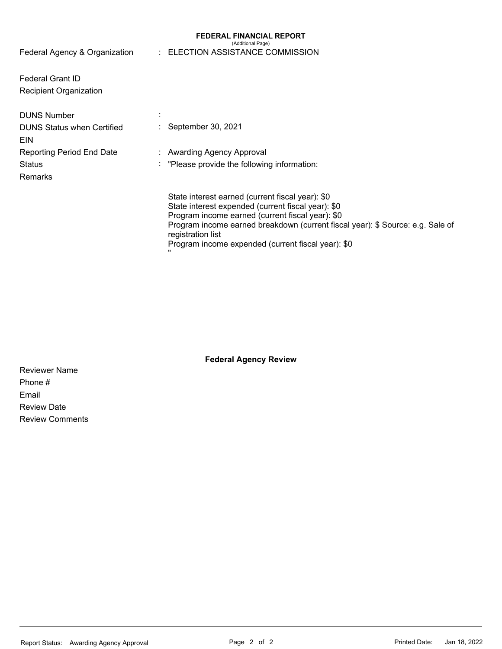#### **FEDERAL FINANCIAL REPORT**  (Additional Page)

| Federal Agency & Organization     | (Auditionial Faye)<br>ELECTION ASSISTANCE COMMISSION                                                                                                                                                                                         |
|-----------------------------------|----------------------------------------------------------------------------------------------------------------------------------------------------------------------------------------------------------------------------------------------|
|                                   |                                                                                                                                                                                                                                              |
|                                   |                                                                                                                                                                                                                                              |
| <b>Federal Grant ID</b>           |                                                                                                                                                                                                                                              |
| Recipient Organization            |                                                                                                                                                                                                                                              |
|                                   |                                                                                                                                                                                                                                              |
| <b>DUNS Number</b>                |                                                                                                                                                                                                                                              |
| <b>DUNS Status when Certified</b> | September 30, 2021                                                                                                                                                                                                                           |
| EIN                               |                                                                                                                                                                                                                                              |
| Reporting Period End Date         | Awarding Agency Approval                                                                                                                                                                                                                     |
| <b>Status</b>                     | "Please provide the following information:                                                                                                                                                                                                   |
| <b>Remarks</b>                    |                                                                                                                                                                                                                                              |
|                                   | State interest earned (current fiscal year): \$0<br>State interest expended (current fiscal year): \$0<br>Program income earned (current fiscal year): \$0<br>Program income earned breakdown (current fiscal year): \$ Source: e.g. Sale of |
|                                   | registration list<br>Program income expended (current fiscal year): \$0                                                                                                                                                                      |

**Federal Agency Review** 

Reviewer Name Phone # Email Review Date Review Comments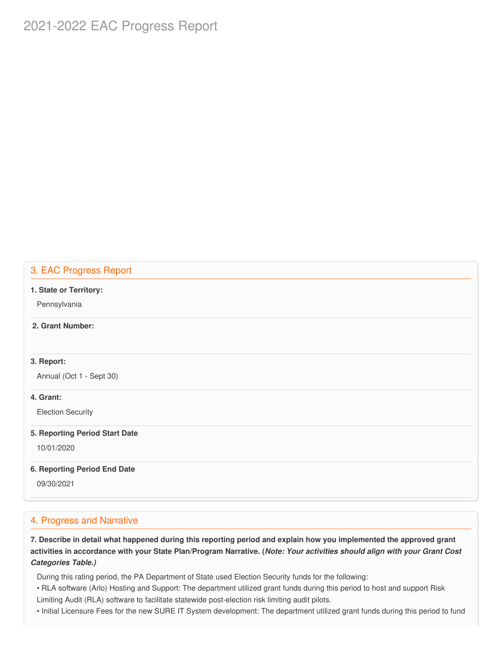# 2021-2022 EAC Progress Report

## 3. EAC Progress Report

#### **1. State or Territory:**

Pennsylvania

#### **2. Grant Number:**

#### **3. Report:**

Annual (Oct 1 - Sept 30)

#### **4. Grant:**

Election Security

#### **5. Reporting Period Start Date**

10/01/2020

### **6. Reporting Period End Date**

09/30/2021

## 4. Progress and Narrative

7. Describe in detail what happened during this reporting period and explain how you implemented the approved grant activities in accordance with your State Plan/Program Narrative. (*Note: Your activities should align with your Grant Cost Categories Table.)*

During this rating period, the PA Department of State used Election Security funds for the following:

- • RLA software (Arlo) Hosting and Support: The department utilized grant funds during this period to host and support Risk Limiting Audit (RLA) software to facilitate statewide post-election risk limiting audit pilots.
- Initial Licensure Fees for the new SURE IT System development: The department utilized grant funds during this period to fund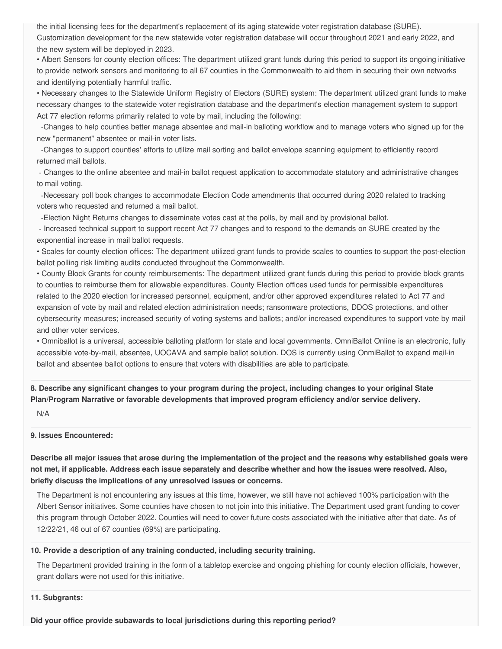the initial licensing fees for the department's replacement of its aging statewide voter registration database (SURE). Customization development for the new statewide voter registration database will occur throughout 2021 and early 2022, and the new system will be deployed in 2023.

 • Albert Sensors for county election offices: The department utilized grant funds during this period to support its ongoing initiative to provide network sensors and monitoring to all 67 counties in the Commonwealth to aid them in securing their own networks and identifying potentially harmful traffic.

 • Necessary changes to the Statewide Uniform Registry of Electors (SURE) system: The department utilized grant funds to make necessary changes to the statewide voter registration database and the department's election management system to support Act 77 election reforms primarily related to vote by mail, including the following:

 -Changes to help counties better manage absentee and mail-in balloting workflow and to manage voters who signed up for the new "permanent" absentee or mail-in voter lists.

 -Changes to support counties' efforts to utilize mail sorting and ballot envelope scanning equipment to efficiently record returned mail ballots.

 - Changes to the online absentee and mail-in ballot request application to accommodate statutory and administrative changes to mail voting.

 -Necessary poll book changes to accommodate Election Code amendments that occurred during 2020 related to tracking voters who requested and returned a mail ballot.

-Election Night Returns changes to disseminate votes cast at the polls, by mail and by provisional ballot.

 - Increased technical support to support recent Act 77 changes and to respond to the demands on SURE created by the exponential increase in mail ballot requests.

 • Scales for county election offices: The department utilized grant funds to provide scales to counties to support the post-election ballot polling risk limiting audits conducted throughout the Commonwealth.

 • County Block Grants for county reimbursements: The department utilized grant funds during this period to provide block grants to counties to reimburse them for allowable expenditures. County Election offices used funds for permissible expenditures related to the 2020 election for increased personnel, equipment, and/or other approved expenditures related to Act 77 and expansion of vote by mail and related election administration needs; ransomware protections, DDOS protections, and other cybersecurity measures; increased security of voting systems and ballots; and/or increased expenditures to support vote by mail and other voter services.

 • Omniballot is a universal, accessible balloting platform for state and local governments. OmniBallot Online is an electronic, fully accessible vote-by-mail, absentee, UOCAVA and sample ballot solution. DOS is currently using OnmiBallot to expand mail-in ballot and absentee ballot options to ensure that voters with disabilities are able to participate.

8. Describe any significant changes to your program during the project, including changes to your original State  **Plan/Program Narrative or favorable developments that improved program efficiency and/or service delivery.**

N/A

#### **9. Issues Encountered:**

Describe all major issues that arose during the implementation of the project and the reasons why established goals were not met, if applicable. Address each issue separately and describe whether and how the issues were resolved. Also,  **briefly discuss the implications of any unresolved issues or concerns.**

 The Department is not encountering any issues at this time, however, we still have not achieved 100% participation with the Albert Sensor initiatives. Some counties have chosen to not join into this initiative. The Department used grant funding to cover this program through October 2022. Counties will need to cover future costs associated with the initiative after that date. As of 12/22/21, 46 out of 67 counties (69%) are participating.

#### **10. Provide a description of any training conducted, including security training.**

 The Department provided training in the form of a tabletop exercise and ongoing phishing for county election officials, however, grant dollars were not used for this initiative.

**11. Subgrants:**

 **Did your office provide subawards to local jurisdictions during this reporting period?**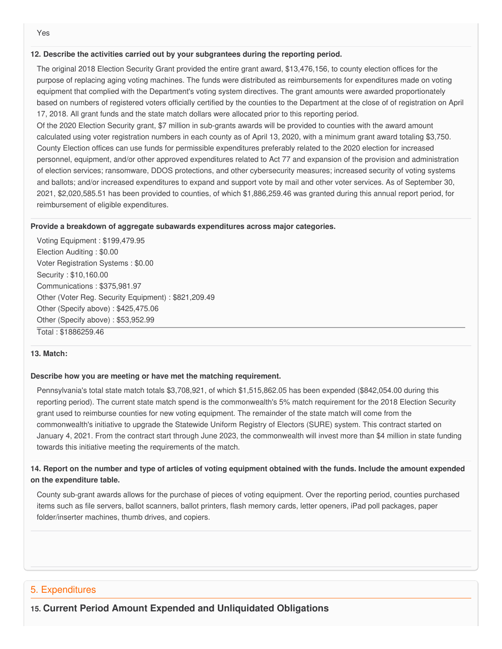#### **12. Describe the activities carried out by your subgrantees during the reporting period.**

 The original 2018 Election Security Grant provided the entire grant award, \$13,476,156, to county election offices for the purpose of replacing aging voting machines. The funds were distributed as reimbursements for expenditures made on voting equipment that complied with the Department's voting system directives. The grant amounts were awarded proportionately based on numbers of registered voters officially certified by the counties to the Department at the close of of registration on April 17, 2018. All grant funds and the state match dollars were allocated prior to this reporting period.

 Of the 2020 Election Security grant, \$7 million in sub-grants awards will be provided to counties with the award amount calculated using voter registration numbers in each county as of April 13, 2020, with a minimum grant award totaling \$3,750. County Election offices can use funds for permissible expenditures preferably related to the 2020 election for increased personnel, equipment, and/or other approved expenditures related to Act 77 and expansion of the provision and administration of election services; ransomware, DDOS protections, and other cybersecurity measures; increased security of voting systems and ballots; and/or increased expenditures to expand and support vote by mail and other voter services. As of September 30, 2021, \$[2,020,585.51](https://2,020,585.51) has been provided to counties, of which \$[1,886,259.46](https://1,886,259.46) was granted during this annual report period, for reimbursement of eligible expenditures.

#### **Provide a breakdown of aggregate subawards expenditures across major categories.**

 Voting Equipment : [\\$199,479.95](https://199,479.95) Election Auditing : \$0.00 Voter Registration Systems : \$0.00 Security : \$[10,160.00](https://10,160.00) Communications : [\\$375,981.97](https://375,981.97) Other (Voter Reg. Security Equipment) : \$[821,209.49](https://821,209.49) Other (Specify above) : [\\$425,475.06](https://425,475.06) Other (Specify above) : [\\$53,952.99](https://53,952.99) Total : [\\$1886259.46](https://1886259.46)

#### **13. Match:**

#### **Describe how you are meeting or have met the matching requirement.**

 Pennsylvania's total state match totals \$3,708,921, of which [\\$1,515,862.05](https://1,515,862.05) has been expended ([\\$842,054.00](https://842,054.00) during this reporting period). The current state match spend is the commonwealth's 5% match requirement for the 2018 Election Security grant used to reimburse counties for new voting equipment. The remainder of the state match will come from the commonwealth's initiative to upgrade the Statewide Uniform Registry of Electors (SURE) system. This contract started on January 4, 2021. From the contract start through June 2023, the commonwealth will invest more than \$4 million in state funding towards this initiative meeting the requirements of the match.

### 14. Report on the number and type of articles of voting equipment obtained with the funds. Include the amount expended  **on the expenditure table.**

 County sub-grant awards allows for the purchase of pieces of voting equipment. Over the reporting period, counties purchased items such as file servers, ballot scanners, ballot printers, flash memory cards, letter openers, iPad poll packages, paper folder/inserter machines, thumb drives, and copiers.

## 5. Expenditures

 **15. Current Period Amount Expended and Unliquidated Obligations**